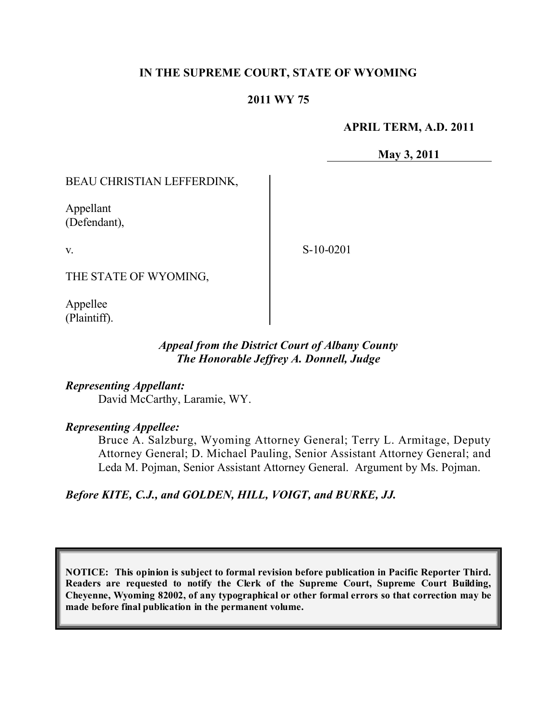## **IN THE SUPREME COURT, STATE OF WYOMING**

### **2011 WY 75**

#### **APRIL TERM, A.D. 2011**

**May 3, 2011**

### BEAU CHRISTIAN LEFFERDINK,

Appellant (Defendant),

v.

S-10-0201

THE STATE OF WYOMING,

Appellee (Plaintiff).

## *Appeal from the District Court of Albany County The Honorable Jeffrey A. Donnell, Judge*

*Representing Appellant:* David McCarthy, Laramie, WY.

#### *Representing Appellee:*

Bruce A. Salzburg, Wyoming Attorney General; Terry L. Armitage, Deputy Attorney General; D. Michael Pauling, Senior Assistant Attorney General; and Leda M. Pojman, Senior Assistant Attorney General. Argument by Ms. Pojman.

*Before KITE, C.J., and GOLDEN, HILL, VOIGT, and BURKE, JJ.*

**NOTICE: This opinion is subject to formal revision before publication in Pacific Reporter Third. Readers are requested to notify the Clerk of the Supreme Court, Supreme Court Building, Cheyenne, Wyoming 82002, of any typographical or other formal errors so that correction may be made before final publication in the permanent volume.**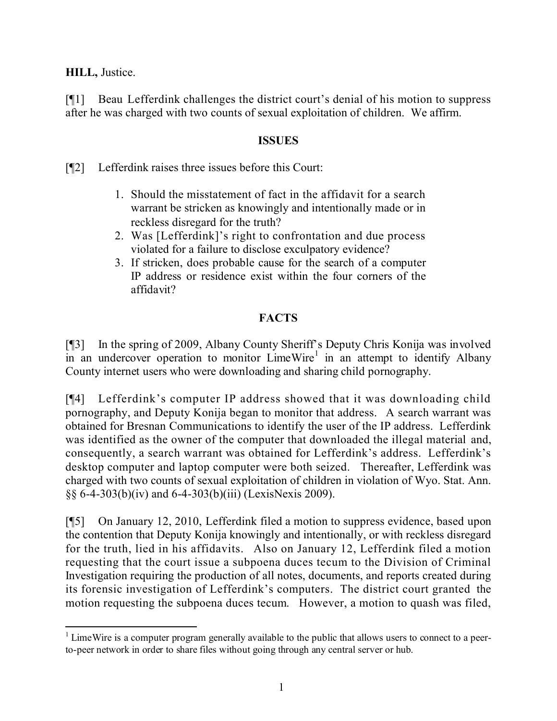**HILL,** Justice.

[¶1] Beau Lefferdink challenges the district court's denial of his motion to suppress after he was charged with two counts of sexual exploitation of children. We affirm.

## **ISSUES**

[¶2] Lefferdink raises three issues before this Court:

- 1. Should the misstatement of fact in the affidavit for a search warrant be stricken as knowingly and intentionally made or in reckless disregard for the truth?
- 2. Was [Lefferdink]'s right to confrontation and due process violated for a failure to disclose exculpatory evidence?
- 3. If stricken, does probable cause for the search of a computer IP address or residence exist within the four corners of the affidavit?

# **FACTS**

[¶3] In the spring of 2009, Albany County Sheriff's Deputy Chris Konija was involved in an undercover operation to monitor  $LimeWire<sup>1</sup>$  in an attempt to identify Albany County internet users who were downloading and sharing child pornography.

[¶4] Lefferdink's computer IP address showed that it was downloading child pornography, and Deputy Konija began to monitor that address. A search warrant was obtained for Bresnan Communications to identify the user of the IP address. Lefferdink was identified as the owner of the computer that downloaded the illegal material and, consequently, a search warrant was obtained for Lefferdink's address. Lefferdink's desktop computer and laptop computer were both seized. Thereafter, Lefferdink was charged with two counts of sexual exploitation of children in violation of Wyo. Stat. Ann. §§ 6-4-303(b)(iv) and 6-4-303(b)(iii) (LexisNexis 2009).

[¶5] On January 12, 2010, Lefferdink filed a motion to suppress evidence, based upon the contention that Deputy Konija knowingly and intentionally, or with reckless disregard for the truth, lied in his affidavits. Also on January 12, Lefferdink filed a motion requesting that the court issue a subpoena duces tecum to the Division of Criminal Investigation requiring the production of all notes, documents, and reports created during its forensic investigation of Lefferdink's computers. The district court granted the motion requesting the subpoena duces tecum. However, a motion to quash was filed,

 $\overline{a}$  $1$  LimeWire is a computer program generally available to the public that allows users to connect to a peerto-peer network in order to share files without going through any central server or hub.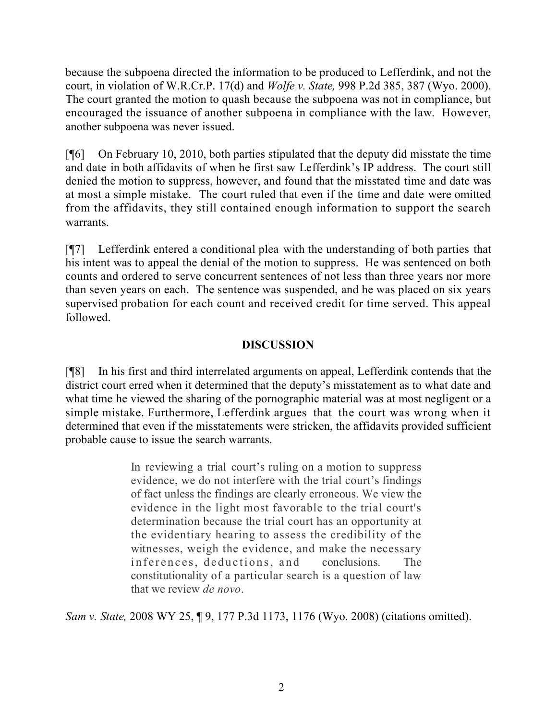because the subpoena directed the information to be produced to Lefferdink, and not the court, in violation of W.R.Cr.P. 17(d) and *Wolfe v. State,* 998 P.2d 385, 387 (Wyo. 2000). The court granted the motion to quash because the subpoena was not in compliance, but encouraged the issuance of another subpoena in compliance with the law. However, another subpoena was never issued.

[¶6] On February 10, 2010, both parties stipulated that the deputy did misstate the time and date in both affidavits of when he first saw Lefferdink's IP address. The court still denied the motion to suppress, however, and found that the misstated time and date was at most a simple mistake. The court ruled that even if the time and date were omitted from the affidavits, they still contained enough information to support the search warrants.

[¶7] Lefferdink entered a conditional plea with the understanding of both parties that his intent was to appeal the denial of the motion to suppress. He was sentenced on both counts and ordered to serve concurrent sentences of not less than three years nor more than seven years on each. The sentence was suspended, and he was placed on six years supervised probation for each count and received credit for time served. This appeal followed.

## **DISCUSSION**

[¶8] In his first and third interrelated arguments on appeal, Lefferdink contends that the district court erred when it determined that the deputy's misstatement as to what date and what time he viewed the sharing of the pornographic material was at most negligent or a simple mistake. Furthermore, Lefferdink argues that the court was wrong when it determined that even if the misstatements were stricken, the affidavits provided sufficient probable cause to issue the search warrants.

> In reviewing a trial court's ruling on a motion to suppress evidence, we do not interfere with the trial court's findings of fact unless the findings are clearly erroneous. We view the evidence in the light most favorable to the trial court's determination because the trial court has an opportunity at the evidentiary hearing to assess the credibility of the witnesses, weigh the evidence, and make the necessary inferences, deductions, and conclusions. The constitutionality of a particular search is a question of law that we review *de novo*.

*Sam v. State,* 2008 WY 25, ¶ 9, 177 P.3d 1173, 1176 (Wyo. 2008) (citations omitted).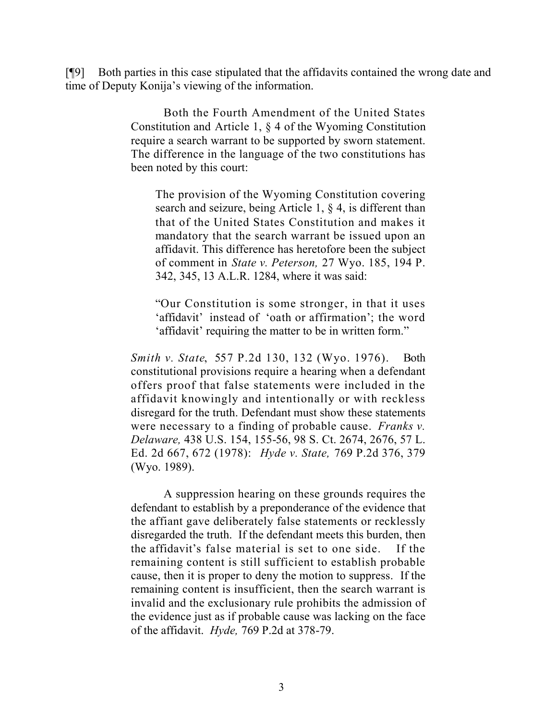[¶9] Both parties in this case stipulated that the affidavits contained the wrong date and time of Deputy Konija's viewing of the information.

> Both the Fourth Amendment of the United States Constitution and Article 1, § 4 of the Wyoming Constitution require a search warrant to be supported by sworn statement. The difference in the language of the two constitutions has been noted by this court:

The provision of the Wyoming Constitution covering search and seizure, being Article 1, § 4, is different than that of the United States Constitution and makes it mandatory that the search warrant be issued upon an affidavit. This difference has heretofore been the subject of comment in *State v. Peterson,* 27 Wyo. 185, 194 P. 342, 345, 13 A.L.R. 1284, where it was said:

"Our Constitution is some stronger, in that it uses 'affidavit' instead of 'oath or affirmation'; the word 'affidavit' requiring the matter to be in written form."

*Smith v. State*, 557 P.2d 130, 132 (Wyo. 1976). Both constitutional provisions require a hearing when a defendant offers proof that false statements were included in the affidavit knowingly and intentionally or with reckless disregard for the truth. Defendant must show these statements were necessary to a finding of probable cause. *Franks v. Delaware,* 438 U.S. 154, 155-56, 98 S. Ct. 2674, 2676, 57 L. Ed. 2d 667, 672 (1978): *Hyde v. State,* 769 P.2d 376, 379 (Wyo. 1989).

A suppression hearing on these grounds requires the defendant to establish by a preponderance of the evidence that the affiant gave deliberately false statements or recklessly disregarded the truth. If the defendant meets this burden, then the affidavit's false material is set to one side. If the remaining content is still sufficient to establish probable cause, then it is proper to deny the motion to suppress. If the remaining content is insufficient, then the search warrant is invalid and the exclusionary rule prohibits the admission of the evidence just as if probable cause was lacking on the face of the affidavit. *Hyde,* 769 P.2d at 378-79.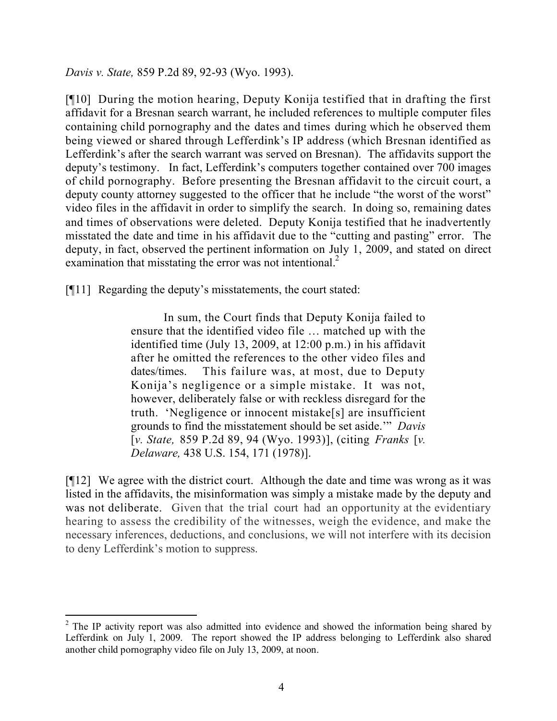*Davis v. State,* 859 P.2d 89, 92-93 (Wyo. 1993).

[¶10] During the motion hearing, Deputy Konija testified that in drafting the first affidavit for a Bresnan search warrant, he included references to multiple computer files containing child pornography and the dates and times during which he observed them being viewed or shared through Lefferdink's IP address (which Bresnan identified as Lefferdink's after the search warrant was served on Bresnan). The affidavits support the deputy's testimony. In fact, Lefferdink's computers together contained over 700 images of child pornography. Before presenting the Bresnan affidavit to the circuit court, a deputy county attorney suggested to the officer that he include "the worst of the worst" video files in the affidavit in order to simplify the search. In doing so, remaining dates and times of observations were deleted. Deputy Konija testified that he inadvertently misstated the date and time in his affidavit due to the "cutting and pasting" error. The deputy, in fact, observed the pertinent information on July 1, 2009, and stated on direct examination that misstating the error was not intentional.<sup>2</sup>

[¶11] Regarding the deputy's misstatements, the court stated:

In sum, the Court finds that Deputy Konija failed to ensure that the identified video file … matched up with the identified time (July 13, 2009, at 12:00 p.m.) in his affidavit after he omitted the references to the other video files and dates/times. This failure was, at most, due to Deputy Konija's negligence or a simple mistake. It was not, however, deliberately false or with reckless disregard for the truth. 'Negligence or innocent mistake[s] are insufficient grounds to find the misstatement should be set aside.'" *Davis*  [*v. State,* 859 P.2d 89, 94 (Wyo. 1993)], (citing *Franks* [*v. Delaware,* 438 U.S. 154, 171 (1978)].

[¶12] We agree with the district court. Although the date and time was wrong as it was listed in the affidavits, the misinformation was simply a mistake made by the deputy and was not deliberate. Given that the trial court had an opportunity at the evidentiary hearing to assess the credibility of the witnesses, weigh the evidence, and make the necessary inferences, deductions, and conclusions, we will not interfere with its decision to deny Lefferdink's motion to suppress.

<sup>&</sup>lt;sup>2</sup> The IP activity report was also admitted into evidence and showed the information being shared by Lefferdink on July 1, 2009. The report showed the IP address belonging to Lefferdink also shared another child pornography video file on July 13, 2009, at noon.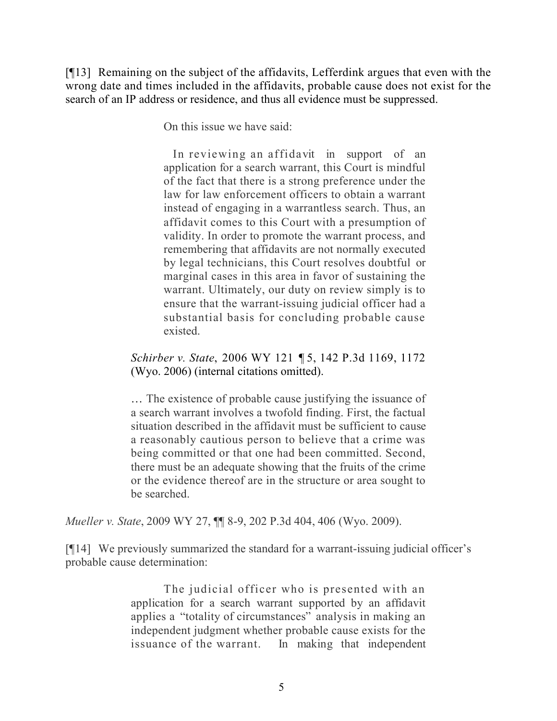[¶13] Remaining on the subject of the affidavits, Lefferdink argues that even with the wrong date and times included in the affidavits, probable cause does not exist for the search of an IP address or residence, and thus all evidence must be suppressed.

On this issue we have said:

 In reviewing an affidavit in support of an application for a search warrant, this Court is mindful of the fact that there is a strong preference under the law for law enforcement officers to obtain a warrant instead of engaging in a warrantless search. Thus, an affidavit comes to this Court with a presumption of validity. In order to promote the warrant process, and remembering that affidavits are not normally executed by legal technicians, this Court resolves doubtful or marginal cases in this area in favor of sustaining the warrant. Ultimately, our duty on review simply is to ensure that the warrant-issuing judicial officer had a substantial basis for concluding probable cause existed.

*Schirber v. State*, 2006 WY 121 ¶ 5, 142 P.3d 1169, 1172 (Wyo. 2006) (internal citations omitted).

… The existence of probable cause justifying the issuance of a search warrant involves a twofold finding. First, the factual situation described in the affidavit must be sufficient to cause a reasonably cautious person to believe that a crime was being committed or that one had been committed. Second, there must be an adequate showing that the fruits of the crime or the evidence thereof are in the structure or area sought to be searched.

*Mueller v. State*, 2009 WY 27, ¶¶ 8-9, 202 P.3d 404, 406 (Wyo. 2009).

[¶14] We previously summarized the standard for a warrant-issuing judicial officer's probable cause determination:

> The judicial officer who is presented with an application for a search warrant supported by an affidavit applies a "totality of circumstances" analysis in making an independent judgment whether probable cause exists for the issuance of the warrant. In making that independent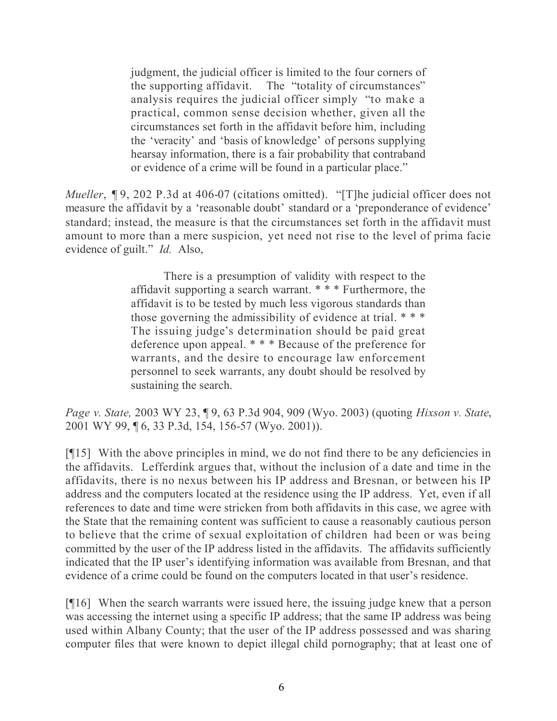judgment, the judicial officer is limited to the four corners of the supporting affidavit. The "totality of circumstances" analysis requires the judicial officer simply "to make a practical, common sense decision whether, given all the circumstances set forth in the affidavit before him, including the 'veracity' and 'basis of knowledge' of persons supplying hearsay information, there is a fair probability that contraband or evidence of a crime will be found in a particular place."

*Mueller*, **¶** 9, 202 P.3d at 406-07 (citations omitted). "[T]he judicial officer does not measure the affidavit by a 'reasonable doubt' standard or a 'preponderance of evidence' standard; instead, the measure is that the circumstances set forth in the affidavit must amount to more than a mere suspicion, yet need not rise to the level of prima facie evidence of guilt." *Id.* Also,

> There is a presumption of validity with respect to the affidavit supporting a search warrant. \* \* \* Furthermore, the affidavit is to be tested by much less vigorous standards than those governing the admissibility of evidence at trial. \* \* \* The issuing judge's determination should be paid great deference upon appeal. \* \* \* Because of the preference for warrants, and the desire to encourage law enforcement personnel to seek warrants, any doubt should be resolved by sustaining the search.

*Page v. State,* 2003 WY 23, ¶ 9, 63 P.3d 904, 909 (Wyo. 2003) (quoting *Hixson v. State*, 2001 WY 99, ¶ 6, 33 P.3d, 154, 156-57 (Wyo. 2001)).

[¶15] With the above principles in mind, we do not find there to be any deficiencies in the affidavits. Lefferdink argues that, without the inclusion of a date and time in the affidavits, there is no nexus between his IP address and Bresnan, or between his IP address and the computers located at the residence using the IP address. Yet, even if all references to date and time were stricken from both affidavits in this case, we agree with the State that the remaining content was sufficient to cause a reasonably cautious person to believe that the crime of sexual exploitation of children had been or was being committed by the user of the IP address listed in the affidavits. The affidavits sufficiently indicated that the IP user's identifying information was available from Bresnan, and that evidence of a crime could be found on the computers located in that user's residence.

[¶16] When the search warrants were issued here, the issuing judge knew that a person was accessing the internet using a specific IP address; that the same IP address was being used within Albany County; that the user of the IP address possessed and was sharing computer files that were known to depict illegal child pornography; that at least one of